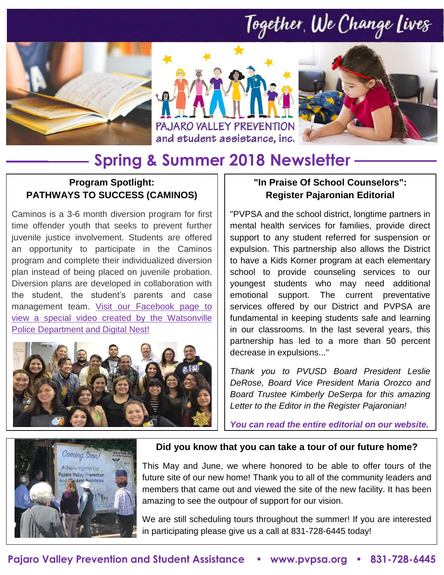## Together, We Change Lives







### **Spring & Summer 2018 Newsletter**

### **Program Spotlight: PATHWAYS TO SUCCESS (CAMINOS)**

Caminos is a 3-6 month diversion program for first time offender youth that seeks to prevent further juvenile justice involvement. Students are offered an opportunity to participate in the Caminos program and complete their individualized diversion plan instead of being placed on juvenile probation. Diversion plans are developed in collaboration with the student, the student's parents and case management team. Visit our Facebook page to [view a special video created by the Watsonville](https://www.facebook.com/pajaro.valley.prevention/posts/1818794911748022)  [Police Department and Digital Nest!](https://www.facebook.com/pajaro.valley.prevention/posts/1818794911748022)



### **"In Praise Of School Counselors": Register Pajaronian Editorial**

"PVPSA and the school district, longtime partners in mental health services for families, provide direct support to any student referred for suspension or expulsion. This partnership also allows the District to have a Kids Korner program at each elementary school to provide counseling services to our youngest students who may need additional emotional support. The current preventative services offered by our District and PVPSA are fundamental in keeping students safe and learning in our classrooms. In the last several years, this partnership has led to a more than 50 percent decrease in expulsions..."

*Thank you to PVUSD Board President Leslie DeRose, Board Vice President Maria Orozco and Board Trustee Kimberly DeSerpa for this amazing Letter to the Editor in the Register Pajaronian!* 

*[You can read the entire editorial on our website.](http://www.pvpsa.org/latest-news/)*



#### **Did you know that you can take a tour of our future home?**

This May and June, we where honored to be able to offer tours of the future site of our new home! Thank you to all of the community leaders and members that came out and viewed the site of the new facility. It has been amazing to see the outpour of support for our vision.

We are still scheduling tours throughout the summer! If you are interested in participating please give us a call at 831-728-6445 today!